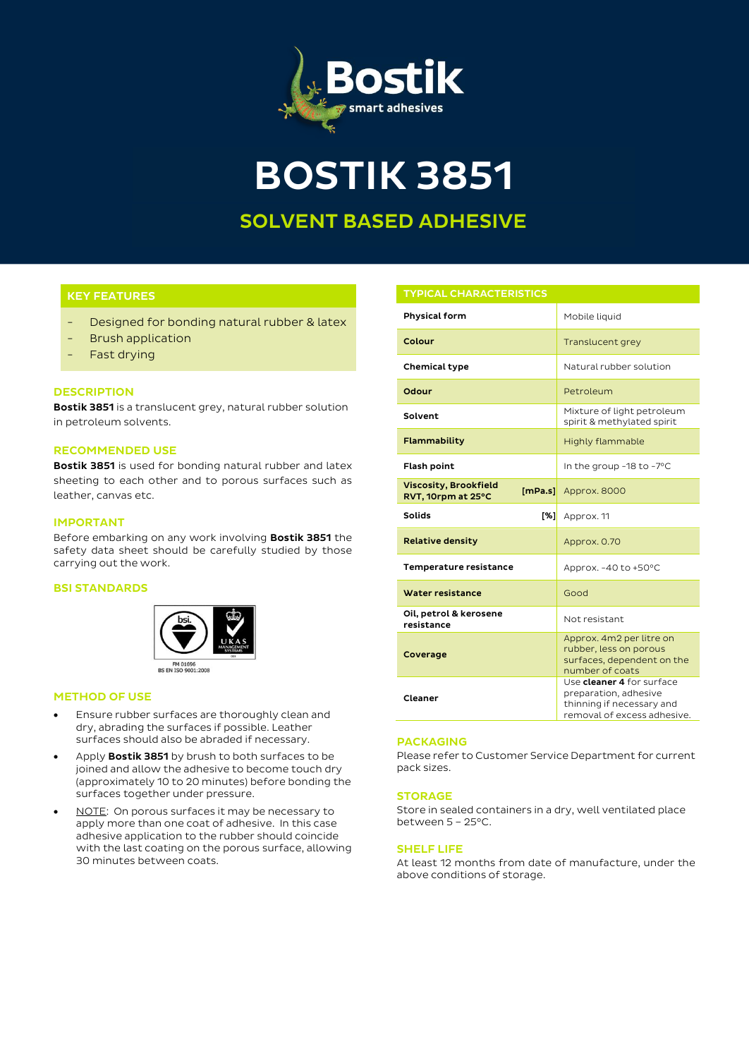

**BOSTIK 3851**

# **SOLVENT BASED ADHESIVE**

# **KEY FEATURES**

- Designed for bonding natural rubber & latex
- **Brush application**
- Fast drying

## **DESCRIPTION**

**Bostik 3851** is a translucent grey, natural rubber solution in petroleum solvents.

## **RECOMMENDED USE**

**Bostik 3851** is used for bonding natural rubber and latex sheeting to each other and to porous surfaces such as leather, canvas etc.

## **IMPORTANT**

Before embarking on any work involving **Bostik 3851** the safety data sheet should be carefully studied by those carrying out the work.

### **BSI STANDARDS**



### **METHOD OF USE**

- Ensure rubber surfaces are thoroughly clean and dry, abrading the surfaces if possible. Leather surfaces should also be abraded if necessary.
- Apply **Bostik 3851** by brush to both surfaces to be joined and allow the adhesive to become touch dry (approximately 10 to 20 minutes) before bonding the surfaces together under pressure.
- NOTE: On porous surfaces it may be necessary to apply more than one coat of adhesive. In this case adhesive application to the rubber should coincide with the last coating on the porous surface, allowing 30 minutes between coats.

| <b>TYPICAL CHARACTERISTICS</b>                                |                                                                                                                |
|---------------------------------------------------------------|----------------------------------------------------------------------------------------------------------------|
| Physical form                                                 | Mobile liquid                                                                                                  |
| Colour                                                        | Translucent grey                                                                                               |
| Chemical type                                                 | Natural rubber solution                                                                                        |
| Odour                                                         | Petroleum                                                                                                      |
| Solvent                                                       | Mixture of light petroleum<br>spirit & methylated spirit                                                       |
| Flammability                                                  | Highly flammable                                                                                               |
| <b>Flash point</b>                                            | In the group -18 to -7°C                                                                                       |
| <b>Viscosity, Brookfield</b><br>[mPa.s]<br>RVT, 10rpm at 25°C | Approx. 8000                                                                                                   |
| <b>Solids</b><br>$\sqrt{3}$                                   | Approx. 11                                                                                                     |
| <b>Relative density</b>                                       | Approx. 0.70                                                                                                   |
| Temperature resistance                                        | Approx. -40 to +50°C                                                                                           |
| <b>Water resistance</b>                                       | Good                                                                                                           |
| Oil, petrol & kerosene<br>resistance                          | Not resistant                                                                                                  |
| Coverage                                                      | Approx. 4m2 per litre on<br>rubber, less on porous<br>surfaces, dependent on the<br>number of coats            |
| Cleaner                                                       | Use cleaner 4 for surface<br>preparation, adhesive<br>thinning if necessary and<br>removal of excess adhesive. |

### **PACKAGING**

Please refer to Customer Service Department for current pack sizes.

## **STORAGE**

Store in sealed containers in a dry, well ventilated place between 5 – 25°C.

#### **SHELF LIFE**

At least 12 months from date of manufacture, under the above conditions of storage.